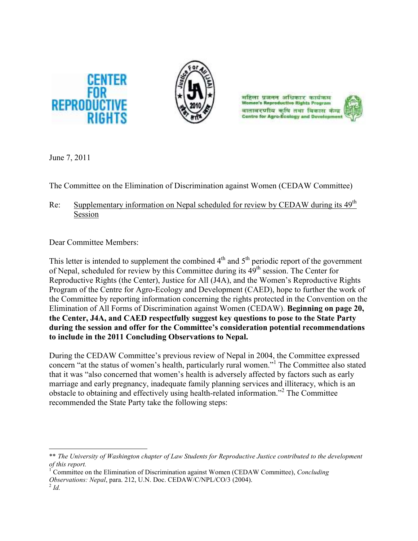



महिला प्रजनन अधिकार कार्यक्रम **Women's Reproductive Rights Program** वातावरणीय कृषि तथा विकास केन **Centre for Agro-Ecology and Developm** 



June 7, 2011

The Committee on the Elimination of Discrimination against Women (CEDAW Committee)

Re: Supplementary information on Nepal scheduled for review by CEDAW during its 49<sup>th</sup> Session

Dear Committee Members:

This letter is intended to supplement the combined  $4<sup>th</sup>$  and  $5<sup>th</sup>$  periodic report of the government of Nepal, scheduled for review by this Committee during its  $49<sup>th</sup>$  session. The Center for Reproductive Rights (the Center), Justice for All (J4A), and the Women's Reproductive Rights Program of the Centre for Agro-Ecology and Development (CAED), hope to further the work of the Committee by reporting information concerning the rights protected in the Convention on the Elimination of All Forms of Discrimination against Women (CEDAW). **Beginning on page 20, the Center, J4A, and CAED respectfully suggest key questions to pose to the State Party during the session and offer for the Committee's consideration potential recommendations to include in the 2011 Concluding Observations to Nepal.** 

During the CEDAW Committee's previous review of Nepal in 2004, the Committee expressed concern "at the status of women's health, particularly rural women."<sup>1</sup> The Committee also stated that it was "also concerned that women's health is adversely affected by factors such as early marriage and early pregnancy, inadequate family planning services and illiteracy, which is an obstacle to obtaining and effectively using health-related information."<sup>2</sup> The Committee recommended the State Party take the following steps:

<sup>\*\*</sup> *The University of Washington chapter of Law Students for Reproductive Justice contributed to the development of this report.* 

<sup>&</sup>lt;sup>1</sup> Committee on the Elimination of Discrimination against Women (CEDAW Committee), *Concluding Observations: Nepal*, para. 212, U.N. Doc. CEDAW/C/NPL/CO/3 (2004). 2 *Id.*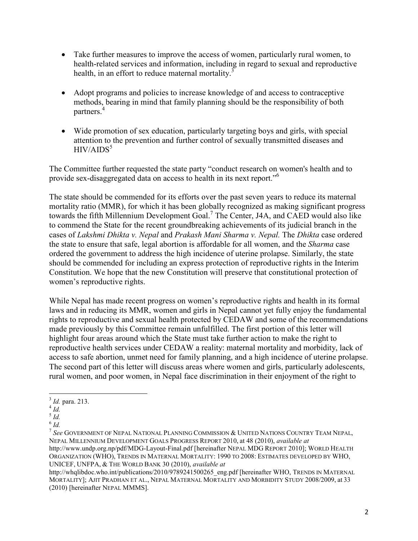- Take further measures to improve the access of women, particularly rural women, to health-related services and information, including in regard to sexual and reproductive health, in an effort to reduce maternal mortality. $3$
- Adopt programs and policies to increase knowledge of and access to contraceptive methods, bearing in mind that family planning should be the responsibility of both partners.<sup>4</sup>
- Wide promotion of sex education, particularly targeting boys and girls, with special attention to the prevention and further control of sexually transmitted diseases and  $HIV/ALDS<sup>5</sup>$

The Committee further requested the state party "conduct research on women's health and to provide sex-disaggregated data on access to health in its next report."<sup>6</sup>

The state should be commended for its efforts over the past seven years to reduce its maternal mortality ratio (MMR), for which it has been globally recognized as making significant progress towards the fifth Millennium Development Goal.<sup>7</sup> The Center, J4A, and CAED would also like to commend the State for the recent groundbreaking achievements of its judicial branch in the cases of *Lakshmi Dhikta v. Nepal* and *Prakash Mani Sharma v. Nepal.* The *Dhikta* case ordered the state to ensure that safe, legal abortion is affordable for all women, and the *Sharma* case ordered the government to address the high incidence of uterine prolapse. Similarly, the state should be commended for including an express protection of reproductive rights in the Interim Constitution. We hope that the new Constitution will preserve that constitutional protection of women's reproductive rights.

While Nepal has made recent progress on women's reproductive rights and health in its formal laws and in reducing its MMR, women and girls in Nepal cannot yet fully enjoy the fundamental rights to reproductive and sexual health protected by CEDAW and some of the recommendations made previously by this Committee remain unfulfilled. The first portion of this letter will highlight four areas around which the State must take further action to make the right to reproductive health services under CEDAW a reality: maternal mortality and morbidity, lack of access to safe abortion, unmet need for family planning, and a high incidence of uterine prolapse. The second part of this letter will discuss areas where women and girls, particularly adolescents, rural women, and poor women, in Nepal face discrimination in their enjoyment of the right to

<sup>3</sup> *Id.* para. 213.

<sup>4</sup> *Id.* 

<sup>5</sup> *Id.* 

<sup>6</sup> *Id.* 

<sup>7</sup> *See* GOVERNMENT OF NEPAL NATIONAL PLANNING COMMISSION & UNITED NATIONS COUNTRY TEAM NEPAL, NEPAL MILLENNIUM DEVELOPMENT GOALS PROGRESS REPORT 2010, at 48 (2010), *available at*  http://www.undp.org.np/pdf/MDG-Layout-Final.pdf [hereinafter NEPAL MDG REPORT 2010]; WORLD HEALTH ORGANIZATION (WHO), TRENDS IN MATERNAL MORTALITY: 1990 TO 2008: ESTIMATES DEVELOPED BY WHO, UNICEF, UNFPA, & THE WORLD BANK 30 (2010), *available at* 

http://whqlibdoc.who.int/publications/2010/9789241500265\_eng.pdf [hereinafter WHO, TRENDS IN MATERNAL MORTALITY]; AJIT PRADHAN ET AL., NEPAL MATERNAL MORTALITY AND MORBIDITY STUDY 2008/2009, at 33 (2010) [hereinafter NEPAL MMMS].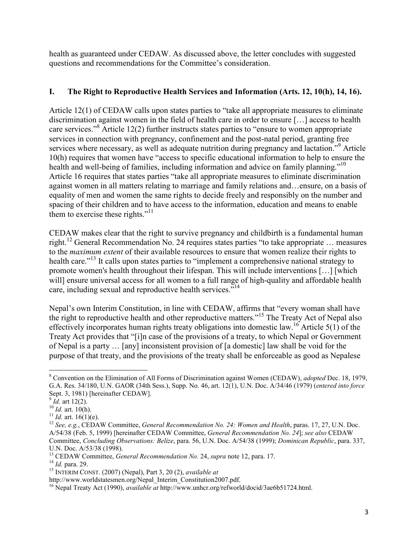health as guaranteed under CEDAW. As discussed above, the letter concludes with suggested questions and recommendations for the Committee's consideration.

# **I. The Right to Reproductive Health Services and Information (Arts. 12, 10(h), 14, 16).**

Article 12(1) of CEDAW calls upon states parties to "take all appropriate measures to eliminate discrimination against women in the field of health care in order to ensure […] access to health care services."<sup>8</sup> Article 12(2) further instructs states parties to "ensure to women appropriate services in connection with pregnancy, confinement and the post-natal period, granting free services where necessary, as well as adequate nutrition during pregnancy and lactation."<sup>9</sup> Article 10(h) requires that women have "access to specific educational information to help to ensure the health and well-being of families, including information and advice on family planning."<sup>10</sup> Article 16 requires that states parties "take all appropriate measures to eliminate discrimination against women in all matters relating to marriage and family relations and…ensure, on a basis of equality of men and women the same rights to decide freely and responsibly on the number and spacing of their children and to have access to the information, education and means to enable them to exercise these rights."<sup>11</sup>

CEDAW makes clear that the right to survive pregnancy and childbirth is a fundamental human right.<sup>12</sup> General Recommendation No. 24 requires states parties "to take appropriate … measures to the *maximum extent* of their available resources to ensure that women realize their rights to health care."<sup>13</sup> It calls upon states parties to "implement a comprehensive national strategy to promote women's health throughout their lifespan. This will include interventions […] [which will] ensure universal access for all women to a full range of high-quality and affordable health care, including sexual and reproductive health services."<sup>14</sup>

Nepal's own Interim Constitution, in line with CEDAW, affirms that "every woman shall have the right to reproductive health and other reproductive matters."<sup>15</sup> The Treaty Act of Nepal also effectively incorporates human rights treaty obligations into domestic law.<sup>16</sup> Article 5(1) of the Treaty Act provides that "[i]n case of the provisions of a treaty, to which Nepal or Government of Nepal is a party … [any] inconsistent provision of [a domestic] law shall be void for the purpose of that treaty, and the provisions of the treaty shall be enforceable as good as Nepalese

<sup>8</sup> Convention on the Elimination of All Forms of Discrimination against Women (CEDAW), *adopted* Dec. 18, 1979, G.A. Res. 34/180, U.N. GAOR (34th Sess.), Supp. No. 46, art. 12(1), U.N. Doc. A/34/46 (1979) (*entered into force* Sept. 3, 1981) [hereinafter CEDAW].

<sup>9</sup> *Id.* art 12(2).

<sup>10</sup> *Id.* art. 10(h).

<sup>&</sup>lt;sup>11</sup> *Id.* art. 16(1)(e).

<sup>12</sup> *See, e.g.*, CEDAW Committee, *General Recommendation No. 24: Women and Health*, paras. 17, 27, U.N. Doc. A/54/38 (Feb. 5, 1999) [hereinafter CEDAW Committee, *General Recommendation No. 24*]; *see also* CEDAW Committee, *Concluding Observations: Belize*, para. 56, U.N. Doc. A/54/38 (1999); *Dominican Republic*, para. 337, U.N. Doc. A/53/38 (1998).

<sup>13</sup> CEDAW Committee, *General Recommendation No.* 24, *supra* note 12, para. 17.

<sup>14</sup> *Id.* para. 29.

<sup>15</sup> INTERIM CONST. (2007) (Nepal), Part 3, 20 (2), *available at* 

http://www.worldstatesmen.org/Nepal\_Interim\_Constitution2007.pdf.

<sup>&</sup>lt;sup>16</sup> Nepal Treaty Act (1990), *available at http://www.unhcr.org/refworld/docid/3ae6b51724.html.*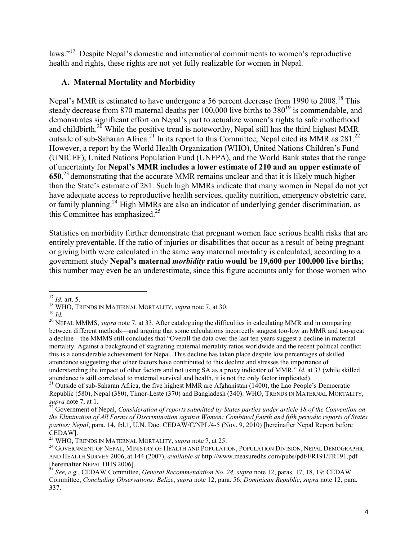laws."<sup>17</sup> Despite Nepal's domestic and international commitments to women's reproductive health and rights, these rights are not yet fully realizable for women in Nepal.

# **A. Maternal Mortality and Morbidity**

Nepal's MMR is estimated to have undergone a 56 percent decrease from 1990 to 2008.<sup>18</sup> This steady decrease from 870 maternal deaths per  $100,000$  live births to  $380^{19}$  is commendable, and demonstrates significant effort on Nepal's part to actualize women's rights to safe motherhood and childbirth.<sup>20</sup> While the positive trend is noteworthy, Nepal still has the third highest MMR outside of sub-Saharan Africa.<sup>21</sup> In its report to this Committee, Nepal cited its MMR as  $281$ .<sup>22</sup> However, a report by the World Health Organization (WHO), United Nations Children's Fund (UNICEF), United Nations Population Fund (UNFPA), and the World Bank states that the range of uncertainty for **Nepal's MMR includes a lower estimate of 210 and an upper estimate of**  650,<sup>23</sup> demonstrating that the accurate MMR remains unclear and that it is likely much higher than the State's estimate of 281. Such high MMRs indicate that many women in Nepal do not yet have adequate access to reproductive health services, quality nutrition, emergency obstetric care, or family planning.<sup>24</sup> High MMRs are also an indicator of underlying gender discrimination, as this Committee has emphasized.<sup>25</sup>

Statistics on morbidity further demonstrate that pregnant women face serious health risks that are entirely preventable. If the ratio of injuries or disabilities that occur as a result of being pregnant or giving birth were calculated in the same way maternal mortality is calculated, according to a government study **Nepal's maternal** *morbidity* **ratio would be 19,600 per 100,000 live births**; this number may even be an underestimate, since this figure accounts only for those women who

<sup>17</sup> *Id.* art. 5.

<sup>18</sup> WHO, TRENDS IN MATERNAL MORTALITY, *supra* note 7, at 30.

 $19 \, H$ 

<sup>&</sup>lt;sup>20</sup> NEPAL MMMS, *supra* note 7, at 33. After cataloguing the difficulties in calculating MMR and in comparing between different methods—and arguing that some calculations incorrectly suggest too-low an MMR and too-great a decline—the MMMS still concludes that "Overall the data over the last ten years suggest a decline in maternal mortality. Against a background of stagnating maternal mortality ratios worldwide and the recent political conflict this is a considerable achievement for Nepal. This decline has taken place despite low percentages of skilled attendance suggesting that other factors have contributed to this decline and stresses the importance of understanding the impact of other factors and not using SA as a proxy indicator of MMR." *Id.* at 33 (while skilled attendance is still correlated to maternal survival and health, it is not the only factor implicated).

<sup>&</sup>lt;sup>21</sup> Outside of sub-Saharan Africa, the five highest MMR are Afghanistan (1400), the Lao People's Democratic Republic (580), Nepal (380), Timor-Leste (370) and Bangladesh (340). WHO, TRENDS IN MATERNAL MORTALITY, *supra* note 7, at 1.

<sup>22</sup> Government of Nepal, *Consideration of reports submitted by States parties under article 18 of the Convention on the Elimination of All Forms of Discrimination against Women: Combined fourth and fifth periodic reports of States parties: Nepal*, para. 14, tbl.1, U.N. Doc. CEDAW/C/NPL/4-5 (Nov. 9, 2010) [hereinafter Nepal Report before CEDAW].

<sup>23</sup> WHO, TRENDS IN MATERNAL MORTALITY, *supra* note 7, at 25.

<sup>&</sup>lt;sup>24</sup> GOVERNMENT OF NEPAL, MINISTRY OF HEALTH AND POPULATION, POPULATION DIVISION, NEPAL DEMOGRAPHIC AND HEALTH SURVEY 2006, at 144 (2007), *available at* http://www.measuredhs.com/pubs/pdf/FR191/FR191.pdf [hereinafter NEPAL DHS 2006].

<sup>25</sup> *See, e.g.*, CEDAW Committee, *General Recommendation No. 24, supra* note 12, paras. 17, 18, 19; CEDAW Committee, *Concluding Observations: Belize*, *supra* note 12, para. 56; *Dominican Republic*, *supra* note 12, para. 337.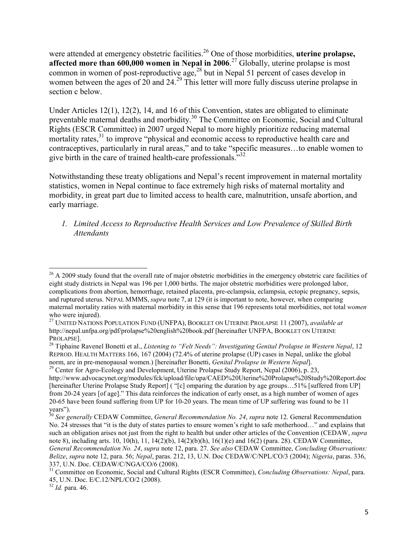were attended at emergency obstetric facilities.<sup>26</sup> One of those morbidities, **uterine prolapse**, **affected more than 600,000 women in Nepal in 2006**. <sup>27</sup> Globally, uterine prolapse is most common in women of post-reproductive age,<sup>28</sup> but in Nepal 51 percent of cases develop in women between the ages of 20 and 24.<sup>29</sup> This letter will more fully discuss uterine prolapse in section c below.

Under Articles 12(1), 12(2), 14, and 16 of this Convention, states are obligated to eliminate preventable maternal deaths and morbidity.<sup>30</sup> The Committee on Economic, Social and Cultural Rights (ESCR Committee) in 2007 urged Nepal to more highly prioritize reducing maternal mortality rates,<sup>31</sup> to improve "physical and economic access to reproductive health care and contraceptives, particularly in rural areas," and to take "specific measures…to enable women to give birth in the care of trained health-care professionals."<sup>32</sup>

Notwithstanding these treaty obligations and Nepal's recent improvement in maternal mortality statistics, women in Nepal continue to face extremely high risks of maternal mortality and morbidity, in great part due to limited access to health care, malnutrition, unsafe abortion, and early marriage.

*1. Limited Access to Reproductive Health Services and Low Prevalence of Skilled Birth Attendants* 

<sup>&</sup>lt;sup>26</sup> A 2009 study found that the overall rate of major obstetric morbidities in the emergency obstetric care facilities of eight study districts in Nepal was 196 per 1,000 births. The major obstetric morbidities were prolonged labor, complications from abortion, hemorrhage, retained placenta, pre-eclampsia, eclampsia, ectopic pregnancy, sepsis, and ruptured uterus. NEPAL MMMS, *supra* note 7, at 129 (it is important to note, however, when comparing maternal mortality ratios with maternal morbidity in this sense that 196 represents total morbidities, not total *women* who were injured).

<sup>27</sup> UNITED NATIONS POPULATION FUND (UNFPA), BOOKLET ON UTERINE PROLAPSE 11 (2007), *available at* http://nepal.unfpa.org/pdf/prolapse%20english%20book.pdf [hereinafter UNFPA, BOOKLET ON UTERINE PROLAPSE].

<sup>28</sup> Tiphaine Ravenel Bonetti et al., *Listening to "Felt Needs": Investigating Genital Prolapse in Western Nepal*, 12 REPROD. HEALTH MATTERS 166, 167 (2004) (72.4% of uterine prolapse (UP) cases in Nepal, unlike the global norm, are in pre-menopausal women.) [hereinafter Bonetti, *Genital Prolapse in Western Nepal*].

<sup>&</sup>lt;sup>29</sup> Center for Agro-Ecology and Development, Uterine Prolapse Study Report, Nepal (2006), p. 23, http://www.advocacynet.org/modules/fck/upload/file/upa/CAED%20Uterine%20Prolapse%20Study%20Report.doc [hereinafter Uterine Prolapse Study Report] ( "[c] omparing the duration by age groups…51% [suffered from UP] from 20-24 years [of age]." This data reinforces the indication of early onset, as a high number of women of ages 20-65 have been found suffering from UP for 10-20 years. The mean time of UP suffering was found to be 11 years").

<sup>30</sup> *See generally* CEDAW Committee, *General Recommendation No. 24*, *supra* note 12. General Recommendation No. 24 stresses that "it is the duty of states parties to ensure women's right to safe motherhood…" and explains that such an obligation arises not just from the right to health but under other articles of the Convention (CEDAW, *supra*  note 8), including arts. 10, 10(h), 11, 14(2)(b), 14(2)(b)(h), 16(1)(e) and 16(2) (para. 28). CEDAW Committee, *General Recommendation No. 24*, *supra* note 12, para. 27. *See also* CEDAW Committee, *Concluding Observations: Belize*, *supra* note 12, para. 56; *Nepal*, paras. 212, 13, U.N. Doc CEDAW/C/NPL/CO/3 (2004); *Nigeria*, paras. 336, 337, U.N. Doc. CEDAW/C/NGA/CO/6 (2008).

<sup>31</sup> Committee on Economic, Social and Cultural Rights (ESCR Committee), *Concluding Observations: Nepal*, para. 45, U.N. Doc. E/C.12/NPL/CO/2 (2008).

<sup>32</sup> *Id.* para. 46.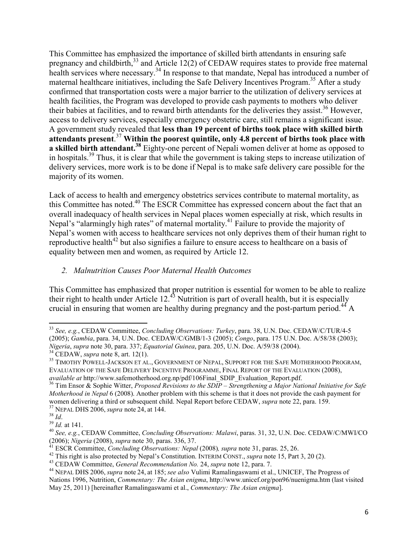This Committee has emphasized the importance of skilled birth attendants in ensuring safe pregnancy and childbirth, $33$  and Article 12(2) of CEDAW requires states to provide free maternal health services where necessary.<sup>34</sup> In response to that mandate, Nepal has introduced a number of maternal healthcare initiatives, including the Safe Delivery Incentives Program.<sup>35</sup> After a study confirmed that transportation costs were a major barrier to the utilization of delivery services at health facilities, the Program was developed to provide cash payments to mothers who deliver their babies at facilities, and to reward birth attendants for the deliveries they assist.<sup>36</sup> However, access to delivery services, especially emergency obstetric care, still remains a significant issue. A government study revealed that **less than 19 percent of births took place with skilled birth attendants present**. <sup>37</sup> **Within the poorest quintile, only 4.8 percent of births took place with a skilled birth attendant.<sup>38</sup>** Eighty-one percent of Nepali women deliver at home as opposed to in hospitals.<sup>39</sup> Thus, it is clear that while the government is taking steps to increase utilization of delivery services, more work is to be done if Nepal is to make safe delivery care possible for the majority of its women.

Lack of access to health and emergency obstetrics services contribute to maternal mortality, as this Committee has noted.<sup>40</sup> The ESCR Committee has expressed concern about the fact that an overall inadequacy of health services in Nepal places women especially at risk, which results in Nepal's "alarmingly high rates" of maternal mortality.<sup>41</sup> Failure to provide the majority of Nepal's women with access to healthcare services not only deprives them of their human right to reproductive health<sup>42</sup> but also signifies a failure to ensure access to healthcare on a basis of equality between men and women, as required by Article 12.

## *2. Malnutrition Causes Poor Maternal Health Outcomes*

This Committee has emphasized that proper nutrition is essential for women to be able to realize their right to health under Article 12.<sup>43</sup> Nutrition is part of overall health, but it is especially crucial in ensuring that women are healthy during pregnancy and the post-partum period.<sup>44</sup> A

<sup>33</sup> *See, e.g.*, CEDAW Committee, *Concluding Observations: Turkey*, para. 38, U.N. Doc. CEDAW/C/TUR/4-5 (2005); *Gambia*, para. 34, U.N. Doc. CEDAW/C/GMB/1-3 (2005); *Congo*, para. 175 U.N. Doc. A/58/38 (2003); *Nigeria*, *supra* note 30, para. 337; *Equatorial Guinea*, para. 205, U.N. Doc. A/59/38 (2004). <sup>34</sup> CEDAW, *supra* note 8, art. 12(1).

<sup>&</sup>lt;sup>35</sup> TIMOTHY POWELL-JACKSON ET AL., GOVERNMENT OF NEPAL, SUPPORT FOR THE SAFE MOTHERHOOD PROGRAM, EVALUATION OF THE SAFE DELIVERY INCENTIVE PROGRAMME, FINAL REPORT OF THE EVALUATION (2008), *available at* http://www.safemotherhood.org.np/pdf/106Final\_SDIP\_Evaluation\_Report.pdf.

<sup>36</sup> Tim Ensor & Sophie Witter, *Proposed Revisions to the SDIP – Strengthening a Major National Initiative for Safe Motherhood in Nepal* 6 (2008). Another problem with this scheme is that it does not provide the cash payment for women delivering a third or subsequent child. Nepal Report before CEDAW, *supra* note 22, para. 159. <sup>37</sup> NEPAL DHS 2006, *supra* note 24, at 144.

<sup>38</sup> *Id*.

<sup>39</sup> *Id.* at 141.

<sup>40</sup> *See, e.g.*, CEDAW Committee, *Concluding Observations: Malawi*, paras. 31, 32, U.N. Doc. CEDAW/C/MWI/CO (2006); *Nigeria* (2008), *supra* note 30, paras. 336, 37.

<sup>41</sup> ESCR Committee, *Concluding Observations: Nepal* (2008)*, supra* note 31, paras. 25, 26.

<sup>42</sup> This right is also protected by Nepal's Constitution. INTERIM CONST., *supra* note 15, Part 3, 20 (2).

<sup>43</sup> CEDAW Committee, *General Recommendation No.* 24, *supra* note 12, para. 7.

<sup>44</sup> NEPAL DHS 2006, *supra* note 24, at 185; *see also* Vulimi Ramalingaswami et al., UNICEF, The Progress of Nations 1996, Nutrition, *Commentary: The Asian enigma*, http://www.unicef.org/pon96/nuenigma.htm (last visited May 25, 2011) [hereinafter Ramalingaswami et al., *Commentary: The Asian enigma*].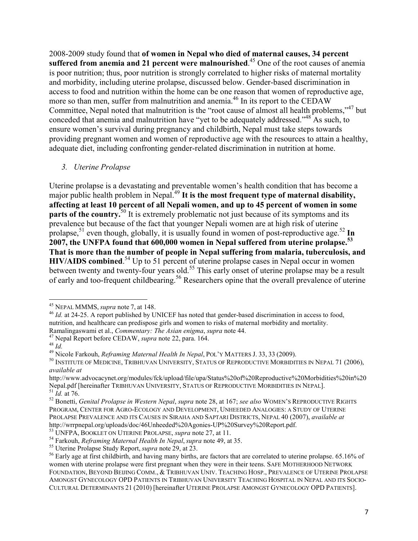2008-2009 study found that **of women in Nepal who died of maternal causes, 34 percent suffered from anemia and 21 percent were malnourished**. <sup>45</sup> One of the root causes of anemia is poor nutrition; thus, poor nutrition is strongly correlated to higher risks of maternal mortality and morbidity, including uterine prolapse, discussed below. Gender-based discrimination in access to food and nutrition within the home can be one reason that women of reproductive age, more so than men, suffer from malnutrition and anemia.<sup>46</sup> In its report to the CEDAW Committee, Nepal noted that malnutrition is the "root cause of almost all health problems,"<sup>47</sup> but conceded that anemia and malnutrition have "yet to be adequately addressed."<sup>48</sup> As such, to ensure women's survival during pregnancy and childbirth, Nepal must take steps towards providing pregnant women and women of reproductive age with the resources to attain a healthy, adequate diet, including confronting gender-related discrimination in nutrition at home.

#### *3. Uterine Prolapse*

Uterine prolapse is a devastating and preventable women's health condition that has become a major public health problem in Nepal.<sup>49</sup> It is the most frequent type of maternal disability, **affecting at least 10 percent of all Nepali women, and up to 45 percent of women in some parts of the country.**<sup>50</sup> It is extremely problematic not just because of its symptoms and its prevalence but because of the fact that younger Nepali women are at high risk of uterine prolapse,<sup>51</sup> even though, globally, it is usually found in women of post-reproductive age.<sup>52</sup> In **2007, the UNFPA found that 600,000 women in Nepal suffered from uterine prolapse.<sup>53</sup> That is more than the number of people in Nepal suffering from malaria, tuberculosis, and HIV/AIDS combined.**<sup>54</sup> Up to 51 percent of uterine prolapse cases in Nepal occur in women between twenty and twenty-four years old.<sup>55</sup> This early onset of uterine prolapse may be a result of early and too-frequent childbearing.<sup>56</sup> Researchers opine that the overall prevalence of uterine

<sup>45</sup> NEPAL MMMS, *supra* note 7, at 148.

<sup>&</sup>lt;sup>46</sup> *Id.* at 24-25. A report published by UNICEF has noted that gender-based discrimination in access to food, nutrition, and healthcare can predispose girls and women to risks of maternal morbidity and mortality. Ramalingaswami et al., *Commentary: The Asian enigma*, *supra* note 44.

<sup>47</sup> Nepal Report before CEDAW, *supra* note 22, para. 164.

<sup>48</sup> *Id.* 

<sup>49</sup> Nicole Farkouh, *Reframing Maternal Health In Nepal*, POL'Y MATTERS J. 33, 33 (2009).

<sup>&</sup>lt;sup>50</sup> INSTITUTE OF MEDICINE, TRIBHUVAN UNIVERSITY, STATUS OF REPRODUCTIVE MORBIDITIES IN NEPAL 71 (2006), *available at*

http://www.advocacynet.org/modules/fck/upload/file/upa/Status%20of%20Reproductive%20Morbidities%20in%20 Nepal.pdf [hereinafter TRIBHUVAN UNIVERSITY, STATUS OF REPRODUCTIVE MORBIDITIES IN NEPAL]. <sup>51</sup> *Id.* at 76.

<sup>52</sup> Bonetti, *Genital Prolapse in Western Nepal*, *supra* note 28, at 167; *see also* WOMEN'S REPRODUCTIVE RIGHTS PROGRAM, CENTER FOR AGRO-ECOLOGY AND DEVELOPMENT, UNHEEDED ANALOGIES: A STUDY OF UTERINE PROLAPSE PREVALENCE AND ITS CAUSES IN SIRAHA AND SAPTARI DISTRICTS, NEPAL 40 (2007), *available at*  http://wrrpnepal.org/uploads/doc/46Unheeded%20Agonies-UP%20Survey%20Report.pdf.

<sup>53</sup> UNFPA, BOOKLET ON UTERINE PROLAPSE, *supra* note 27, at 11.

<sup>54</sup> Farkouh, *Reframing Maternal Health In Nepal*, *supra* note 49, at 35.

<sup>55</sup> Uterine Prolapse Study Report, *supra* note 29, at 23.

<sup>&</sup>lt;sup>56</sup> Early age at first childbirth, and having many births, are factors that are correlated to uterine prolapse. 65.16% of women with uterine prolapse were first pregnant when they were in their teens. SAFE MOTHERHOOD NETWORK FOUNDATION, BEYOND BEIJING COMM., & TRIBHUVAN UNIV. TEACHING HOSP., PREVALENCE OF UTERINE PROLAPSE AMONGST GYNECOLOGY OPD PATIENTS IN TRIBHUVAN UNIVERSITY TEACHING HOSPITAL IN NEPAL AND ITS SOCIO-CULTURAL DETERMINANTS 21 (2010) [hereinafter UTERINE PROLAPSE AMONGST GYNECOLOGY OPD PATIENTS].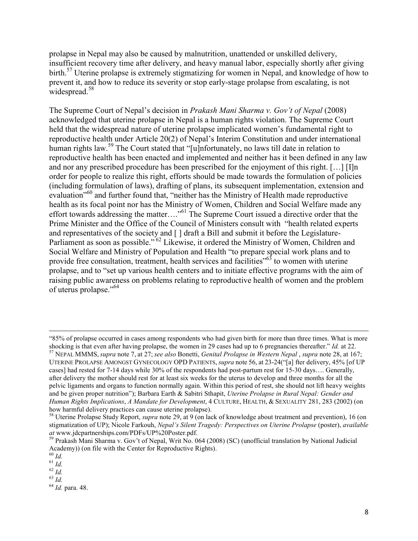prolapse in Nepal may also be caused by malnutrition, unattended or unskilled delivery, insufficient recovery time after delivery, and heavy manual labor, especially shortly after giving birth.<sup>57</sup> Uterine prolapse is extremely stigmatizing for women in Nepal, and knowledge of how to prevent it, and how to reduce its severity or stop early-stage prolapse from escalating, is not widespread.<sup>58</sup>

The Supreme Court of Nepal's decision in *Prakash Mani Sharma v. Gov't of Nepal* (2008) acknowledged that uterine prolapse in Nepal is a human rights violation. The Supreme Court held that the widespread nature of uterine prolapse implicated women's fundamental right to reproductive health under Article 20(2) of Nepal's Interim Constitution and under international human rights law.<sup>59</sup> The Court stated that "[u]nfortunately, no laws till date in relation to reproductive health has been enacted and implemented and neither has it been defined in any law and nor any prescribed procedure has been prescribed for the enjoyment of this right. […] [I]n order for people to realize this right, efforts should be made towards the formulation of policies (including formulation of laws), drafting of plans, its subsequent implementation, extension and evaluation<sup>"60</sup> and further found that, "neither has the Ministry of Health made reproductive health as its focal point nor has the Ministry of Women, Children and Social Welfare made any effort towards addressing the matter...."<sup>61</sup> The Supreme Court issued a directive order that the Prime Minister and the Office of the Council of Ministers consult with "health related experts and representatives of the society and [ ] draft a Bill and submit it before the Legislature-Parliament as soon as possible."<sup>62</sup> Likewise, it ordered the Ministry of Women, Children and Social Welfare and Ministry of Population and Health "to prepare special work plans and to provide free consultation, treatment, health services and facilities<sup>"63</sup> to women with uterine prolapse, and to "set up various health centers and to initiate effective programs with the aim of raising public awareness on problems relating to reproductive health of women and the problem of uterus prolapse."<sup>64</sup>

<sup>&</sup>quot;85% of prolapse occurred in cases among respondents who had given birth for more than three times. What is more shocking is that even after having prolapse, the women in 29 cases had up to 6 pregnancies thereafter." *Id.* at 22. <sup>57</sup> NEPAL MMMS, *supra* note 7, at 27; *see also* Bonetti, *Genital Prolapse in Western Nepal* , *supra* note 28, at 167; UTERINE PROLAPSE AMONGST GYNECOLOGY OPD PATIENTS, *supra* note 56, at 23-24("[a] fter delivery, 45% [of UP cases] had rested for 7-14 days while 30% of the respondents had post-partum rest for 15-30 days…. Generally, after delivery the mother should rest for at least six weeks for the uterus to develop and three months for all the pelvic ligaments and organs to function normally again. Within this period of rest, she should not lift heavy weights and be given proper nutrition"); Barbara Earth & Sabitri Sthapit, *Uterine Prolapse in Rural Nepal: Gender and Human Rights Implications*, *A Mandate for Development*, 4 CULTURE, HEALTH, & SEXUALITY 281, 283 (2002) (on how harmful delivery practices can cause uterine prolapse).

<sup>58</sup> Uterine Prolapse Study Report, *supra* note 29, at 9 (on lack of knowledge about treatment and prevention), 16 (on stigmatization of UP); Nicole Farkouh, *Nepal's Silent Tragedy: Perspectives on Uterine Prolapse* (poster), *available at* www.jdcpartnerships.com/PDFs/UP%20Poster.pdf.

<sup>59</sup> Prakash Mani Sharma v. Gov't of Nepal, Writ No. 064 (2008) (SC) (unofficial translation by National Judicial Academy)) (on file with the Center for Reproductive Rights).

 $^{60}\,Id.$ 

<sup>61</sup> *Id.* 

<sup>62</sup> *Id.*   $\frac{63}{1}$   $\frac{1}{4}$ 

<sup>64</sup> *Id.* para. 48.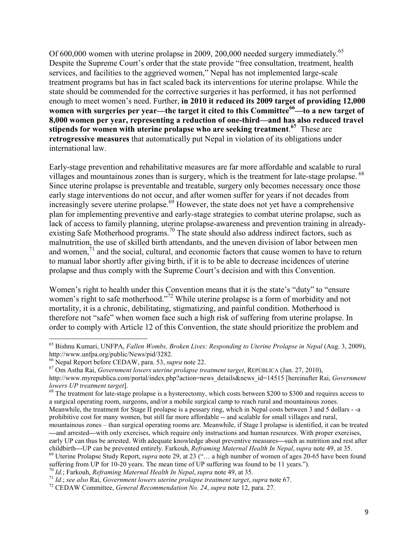Of 600,000 women with uterine prolapse in 2009, 200,000 needed surgery immediately.<sup>65</sup> Despite the Supreme Court's order that the state provide "free consultation, treatment, health services, and facilities to the aggrieved women," Nepal has not implemented large-scale treatment programs but has in fact scaled back its interventions for uterine prolapse. While the state should be commended for the corrective surgeries it has performed, it has not performed enough to meet women's need. Further, **in 2010 it reduced its 2009 target of providing 12,000 women with surgeries per year––the target it cited to this Committee<sup>66</sup>––to a new target of 8,000 women per year, representing a reduction of one-third––and has also reduced travel stipends for women with uterine prolapse who are seeking treatment**. **67** These are **retrogressive measures** that automatically put Nepal in violation of its obligations under international law.

Early-stage prevention and rehabilitative measures are far more affordable and scalable to rural villages and mountainous zones than is surgery, which is the treatment for late-stage prolapse.<sup>68</sup> Since uterine prolapse is preventable and treatable, surgery only becomes necessary once those early stage interventions do not occur, and after women suffer for years if not decades from increasingly severe uterine prolapse.<sup>69</sup> However, the state does not yet have a comprehensive plan for implementing preventive and early-stage strategies to combat uterine prolapse, such as lack of access to family planning, uterine prolapse-awareness and prevention training in alreadyexisting Safe Motherhood programs.<sup>70</sup> The state should also address indirect factors, such as malnutrition, the use of skilled birth attendants, and the uneven division of labor between men and women, $^{71}$  and the social, cultural, and economic factors that cause women to have to return to manual labor shortly after giving birth, if it is to be able to decrease incidences of uterine prolapse and thus comply with the Supreme Court's decision and with this Convention.

Women's right to health under this Convention means that it is the state's "duty" to "ensure women's right to safe motherhood."<sup>72</sup> While uterine prolapse is a form of morbidity and not mortality, it is a chronic, debilitating, stigmatizing, and painful condition. Motherhood is therefore not "safe" when women face such a high risk of suffering from uterine prolapse. In order to comply with Article 12 of this Convention, the state should prioritize the problem and

<sup>65</sup> Bishnu Kumari, UNFPA, *Fallen Wombs, Broken Lives: Responding to Uterine Prolapse in Nepal* (Aug. 3, 2009), http://www.unfpa.org/public/News/pid/3282.

<sup>66</sup> Nepal Report before CEDAW, para. 53, *supra* note 22.

<sup>67</sup> Om Astha Rai, *Government lowers uterine prolapse treatment target*, REPÚBLICA (Jan. 27, 2010), http://www.myrepublica.com/portal/index.php?action=news\_details&news\_id=14515 [hereinafter Rai, *Government lowers UP treatment target*].

<sup>&</sup>lt;sup>68</sup> The treatment for late-stage prolapse is a hysterectomy, which costs between \$200 to \$300 and requires access to a surgical operating room, surgeons, and/or a mobile surgical camp to reach rural and mountainous zones. Meanwhile, the treatment for Stage II prolapse is a pessary ring, which in Nepal costs between 3 and 5 dollars - -a prohibitive cost for many women, but still far more affordable -- and scalable for small villages and rural, mountainous zones – than surgical operating rooms are. Meanwhile, if Stage I prolapse is identified, it can be treated **––**and arrested**––**with only exercises, which require only instructions and human resources. With proper exercises, early UP can thus be arrested. With adequate knowledge about preventive measures**––**such as nutrition and rest after

childbirth**––**UP can be prevented entirely. Farkouh, *Reframing Maternal Health In Nepal*, *supra* note 49, at 35. <sup>69</sup> Uterine Prolapse Study Report, *supra* note 29, at 23 ("… a high number of women of ages 20-65 have been found suffering from UP for 10-20 years. The mean time of UP suffering was found to be 11 years.").

<sup>70</sup> *Id.*; Farkouh, *Reframing Maternal Health In Nepal*, *supra* note 49, at 35.

<sup>71</sup> *Id.*; *see also* Rai, *Government lowers uterine prolapse treatment target*, *supra* note 67.

<sup>72</sup> CEDAW Committee, *General Recommendation No. 24*, *supra* note 12, para. 27.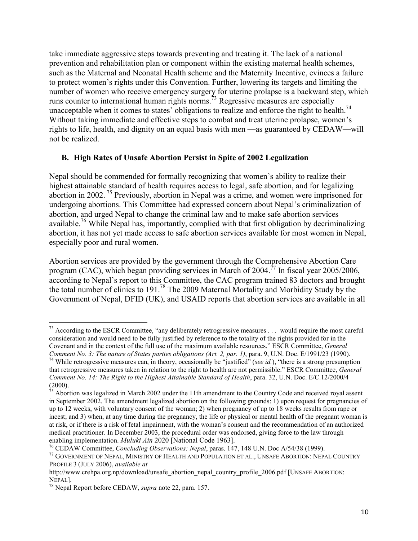take immediate aggressive steps towards preventing and treating it. The lack of a national prevention and rehabilitation plan or component within the existing maternal health schemes, such as the Maternal and Neonatal Health scheme and the Maternity Incentive, evinces a failure to protect women's rights under this Convention. Further, lowering its targets and limiting the number of women who receive emergency surgery for uterine prolapse is a backward step, which runs counter to international human rights norms.<sup> $73$ </sup> Regressive measures are especially unacceptable when it comes to states' obligations to realize and enforce the right to health.<sup>74</sup> Without taking immediate and effective steps to combat and treat uterine prolapse, women's rights to life, health, and dignity on an equal basis with men **––**as guaranteed by CEDAW**––**will not be realized.

#### **B. High Rates of Unsafe Abortion Persist in Spite of 2002 Legalization**

Nepal should be commended for formally recognizing that women's ability to realize their highest attainable standard of health requires access to legal, safe abortion, and for legalizing abortion in 2002.<sup>75</sup> Previously, abortion in Nepal was a crime, and women were imprisoned for undergoing abortions. This Committee had expressed concern about Nepal's criminalization of abortion, and urged Nepal to change the criminal law and to make safe abortion services available.<sup>76</sup> While Nepal has, importantly, complied with that first obligation by decriminalizing abortion, it has not yet made access to safe abortion services available for most women in Nepal, especially poor and rural women.

Abortion services are provided by the government through the Comprehensive Abortion Care program (CAC), which began providing services in March of 2004.<sup>77</sup> In fiscal year 2005/2006, according to Nepal's report to this Committee, the CAC program trained 83 doctors and brought the total number of clinics to 191.<sup>78</sup> The 2009 Maternal Mortality and Morbidity Study by the Government of Nepal, DFID (UK), and USAID reports that abortion services are available in all

<sup>&</sup>lt;sup>73</sup> According to the ESCR Committee, "any deliberately retrogressive measures . . . would require the most careful consideration and would need to be fully justified by reference to the totality of the rights provided for in the Covenant and in the context of the full use of the maximum available resources." ESCR Committee, *General Comment No. 3: The nature of States parties obligations (Art. 2, par. 1)*, para. 9, U.N. Doc. E/1991/23 (1990).

<sup>&</sup>lt;sup>74</sup> While retrogressive measures can, in theory, occasionally be "justified" (*see id.*), "there is a strong presumption that retrogressive measures taken in relation to the right to health are not permissible." ESCR Committee, *General Comment No. 14: The Right to the Highest Attainable Standard of Health*, para. 32, U.N. Doc. E/C.12/2000/4 (2000).

 $<sup>75</sup>$  Abortion was legalized in March 2002 under the 11th amendment to the Country Code and received royal assent</sup> in September 2002. The amendment legalized abortion on the following grounds: 1) upon request for pregnancies of up to 12 weeks, with voluntary consent of the woman; 2) when pregnancy of up to 18 weeks results from rape or incest; and 3) when, at any time during the pregnancy, the life or physical or mental health of the pregnant woman is at risk, or if there is a risk of fetal impairment, with the woman's consent and the recommendation of an authorized medical practitioner. In December 2003, the procedural order was endorsed, giving force to the law through enabling implementation. *Muluki Ain* 2020 [National Code 1963].

<sup>76</sup> CEDAW Committee, *Concluding Observations: Nepal*, paras. 147, 148 U.N. Doc A/54/38 (1999).

<sup>77</sup> GOVERNMENT OF NEPAL, MINISTRY OF HEALTH AND POPULATION ET AL., UNSAFE ABORTION: NEPAL COUNTRY PROFILE 3 (JULY 2006), *available at* 

http://www.crehpa.org.np/download/unsafe\_abortion\_nepal\_country\_profile\_2006.pdf [UNSAFE ABORTION: NEPAL].

<sup>78</sup> Nepal Report before CEDAW, *supra* note 22, para. 157.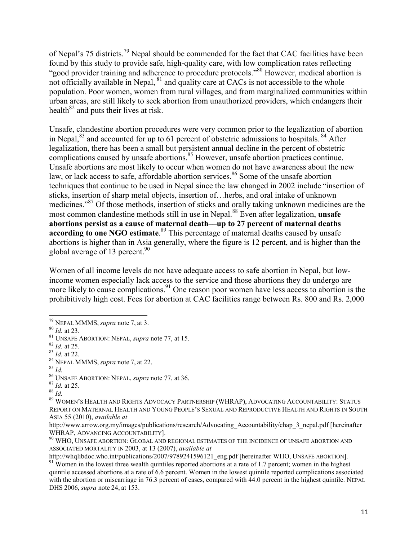of Nepal's 75 districts.<sup>79</sup> Nepal should be commended for the fact that CAC facilities have been found by this study to provide safe, high-quality care, with low complication rates reflecting "good provider training and adherence to procedure protocols."<sup>80</sup> However, medical abortion is not officially available in Nepal, <sup>81</sup> and quality care at CACs is not accessible to the whole population. Poor women, women from rural villages, and from marginalized communities within urban areas, are still likely to seek abortion from unauthorized providers, which endangers their health<sup>82</sup> and puts their lives at risk.

Unsafe, clandestine abortion procedures were very common prior to the legalization of abortion in Nepal, $^{83}$  and accounted for up to 61 percent of obstetric admissions to hospitals.  $^{84}$  After legalization, there has been a small but persistent annual decline in the percent of obstetric complications caused by unsafe abortions.<sup>85</sup> However, unsafe abortion practices continue. Unsafe abortions are most likely to occur when women do not have awareness about the new law, or lack access to safe, affordable abortion services.<sup>86</sup> Some of the unsafe abortion techniques that continue to be used in Nepal since the law changed in 2002 include "insertion of sticks, insertion of sharp metal objects, insertion of…herbs, and oral intake of unknown medicines."<sup>87</sup> Of those methods, insertion of sticks and orally taking unknown medicines are the most common clandestine methods still in use in Nepal.<sup>88</sup> Even after legalization, **unsafe abortions persist as a cause of maternal death––up to 27 percent of maternal deaths**  according to one NGO estimate.<sup>89</sup> This percentage of maternal deaths caused by unsafe abortions is higher than in Asia generally, where the figure is 12 percent, and is higher than the global average of 13 percent. $90$ 

Women of all income levels do not have adequate access to safe abortion in Nepal, but lowincome women especially lack access to the service and those abortions they do undergo are more likely to cause complications.<sup>91</sup> One reason poor women have less access to abortion is the prohibitively high cost. Fees for abortion at CAC facilities range between Rs. 800 and Rs. 2,000

l

<sup>88</sup> *Id.*

<sup>79</sup> NEPAL MMMS, *supra* note 7, at 3.

<sup>80</sup> *Id.* at 23.

<sup>81</sup> UNSAFE ABORTION: NEPAL, *supra* note 77, at 15.

<sup>82</sup> *Id.* at 25.

<sup>83</sup> *Id.* at 22.

<sup>84</sup> NEPAL MMMS, *supra* note 7, at 22.

<sup>85</sup> *Id.*

<sup>86</sup> UNSAFE ABORTION: NEPAL, *supra* note 77, at 36.

<sup>87</sup> *Id.* at 25.

<sup>89</sup> WOMEN'S HEALTH AND RIGHTS ADVOCACY PARTNERSHIP (WHRAP), ADVOCATING ACCOUNTABILITY: STATUS REPORT ON MATERNAL HEALTH AND YOUNG PEOPLE'S SEXUAL AND REPRODUCTIVE HEALTH AND RIGHTS IN SOUTH ASIA 55 (2010), *available at* 

http://www.arrow.org.my/images/publications/research/Advocating\_Accountability/chap\_3\_nepal.pdf [hereinafter WHRAP, ADVANCING ACCOUNTABILITY].

 $^{90}$  WHO, UNSAFE ABORTION: GLOBAL AND REGIONAL ESTIMATES OF THE INCIDENCE OF UNSAFE ABORTION AND ASSOCIATED MORTALITY IN 2003, at 13 (2007), *available at* 

http://whqlibdoc.who.int/publications/2007/9789241596121\_eng.pdf [hereinafter WHO, UNSAFE ABORTION].

 $91$  Women in the lowest three wealth quintiles reported abortions at a rate of 1.7 percent; women in the highest quintile accessed abortions at a rate of 6.6 percent. Women in the lowest quintile reported complications associated with the abortion or miscarriage in 76.3 percent of cases, compared with 44.0 percent in the highest quintile. NEPAL DHS 2006, *supra* note 24, at 153.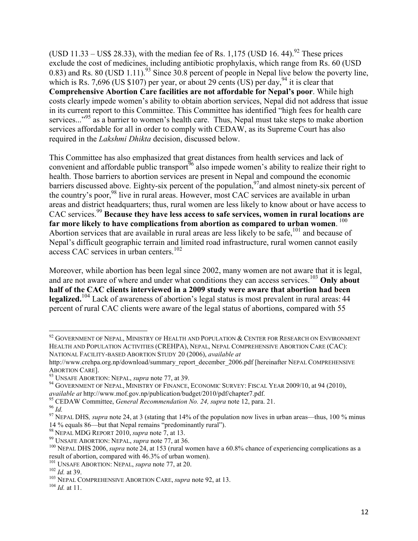(USD  $11.33 - US\$  28.33), with the median fee of Rs. 1,175 (USD 16.44).<sup>92</sup> These prices exclude the cost of medicines, including antibiotic prophylaxis, which range from Rs. 60 (USD 0.83) and Rs. 80 (USD 1.11).<sup>93</sup> Since 30.8 percent of people in Nepal live below the poverty line, which is Rs. 7,696 (US \$107) per year, or about 29 cents (US) per day, <sup>94</sup> it is clear that **Comprehensive Abortion Care facilities are not affordable for Nepal's poor**. While high costs clearly impede women's ability to obtain abortion services, Nepal did not address that issue in its current report to this Committee. This Committee has identified "high fees for health care services..."<sup>95</sup> as a barrier to women's health care. Thus, Nepal must take steps to make abortion services affordable for all in order to comply with CEDAW, as its Supreme Court has also required in the *Lakshmi Dhikta* decision, discussed below.

This Committee has also emphasized that great distances from health services and lack of convenient and affordable public transport  $96$  also impede women's ability to realize their right to health. Those barriers to abortion services are present in Nepal and compound the economic barriers discussed above. Eighty-six percent of the population,  $\frac{97}{2}$  and almost ninety-six percent of the country's poor,<sup>98</sup> live in rural areas. However, most CAC services are available in urban areas and district headquarters; thus, rural women are less likely to know about or have access to CAC services.<sup>99</sup> **Because they have less access to safe services, women in rural locations are**  far more likely to have complications from abortion as compared to urban women.  $^{\rm 100}$ Abortion services that are available in rural areas are less likely to be safe, $^{101}$  and because of Nepal's difficult geographic terrain and limited road infrastructure, rural women cannot easily access CAC services in urban centers.<sup>102</sup>

Moreover, while abortion has been legal since 2002, many women are not aware that it is legal, and are not aware of where and under what conditions they can access services.<sup>103</sup> Only about **half of the CAC clients interviewed in a 2009 study were aware that abortion had been legalized.**<sup>104</sup> Lack of awareness of abortion's legal status is most prevalent in rural areas: 44 percent of rural CAC clients were aware of the legal status of abortions, compared with 55

 $^{92}$  GOVERNMENT OF NEPAL, MINISTRY OF HEALTH AND POPULATION  $\&$  Center for Research on Environment HEALTH AND POPULATION ACTIVITIES (CREHPA), NEPAL, NEPAL COMPREHENSIVE ABORTION CARE (CAC): NATIONAL FACILITY-BASED ABORTION STUDY 20 (2006), *available at* 

http://www.crehpa.org.np/download/summary\_report\_december\_2006.pdf [hereinafter NEPAL COMPREHENSIVE ABORTION CARE].

<sup>&</sup>lt;sup>93</sup> UNSAFE ABORTION: NEPAL, *supra* note 77, at 39.

<sup>&</sup>lt;sup>94</sup> GOVERNMENT OF NEPAL, MINISTRY OF FINANCE, ECONOMIC SURVEY: FISCAL YEAR 2009/10, at 94 (2010), *available at* http://www.mof.gov.np/publication/budget/2010/pdf/chapter7.pdf.

<sup>95</sup> CEDAW Committee, *General Recommendation No. 24, supra* note 12, para. 21.

<sup>96</sup> *Id.*

<sup>97</sup> NEPAL DHS*, supra* note 24, at 3 (stating that 14% of the population now lives in urban areas—thus, 100 % minus 14 % equals 86—but that Nepal remains "predominantly rural").

<sup>98</sup> NEPAL MDG REPORT 2010, *supra* note 7, at 13.

<sup>99</sup> UNSAFE ABORTION: NEPAL, *supra* note 77, at 36.

<sup>&</sup>lt;sup>100</sup> NEPAL DHS 2006, *supra* note 24, at 153 (rural women have a 60.8% chance of experiencing complications as a result of abortion, compared with 46.3% of urban women).

<sup>101</sup> UNSAFE ABORTION: NEPAL, *supra* note 77, at 20.

<sup>102</sup> *Id.* at 39.

<sup>103</sup> NEPAL COMPREHENSIVE ABORTION CARE, *supra* note 92, at 13.

 $^{104}$  *Id.* at 11.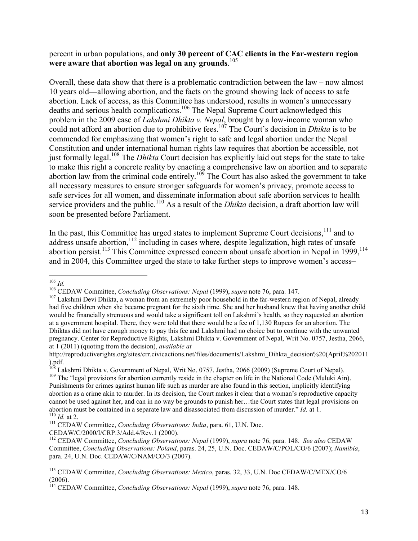percent in urban populations, and **only 30 percent of CAC clients in the Far-western region were aware that abortion was legal on any grounds**. 105

Overall, these data show that there is a problematic contradiction between the law – now almost 10 years old**––**allowing abortion, and the facts on the ground showing lack of access to safe abortion. Lack of access, as this Committee has understood, results in women's unnecessary deaths and serious health complications.<sup>106</sup> The Nepal Supreme Court acknowledged this problem in the 2009 case of *Lakshmi Dhikta v. Nepal*, brought by a low-income woman who could not afford an abortion due to prohibitive fees.<sup>107</sup> The Court's decision in *Dhikta* is to be commended for emphasizing that women's right to safe and legal abortion under the Nepal Constitution and under international human rights law requires that abortion be accessible, not just formally legal.<sup>108</sup> The *Dhikta* Court decision has explicitly laid out steps for the state to take to make this right a concrete reality by enacting a comprehensive law on abortion and to separate abortion law from the criminal code entirely.<sup>109</sup> The Court has also asked the government to take all necessary measures to ensure stronger safeguards for women's privacy, promote access to safe services for all women, and disseminate information about safe abortion services to health service providers and the public.<sup>110</sup> As a result of the *Dhikta* decision, a draft abortion law will soon be presented before Parliament.

In the past, this Committee has urged states to implement Supreme Court decisions,<sup>111</sup> and to address unsafe abortion, $112$  including in cases where, despite legalization, high rates of unsafe  $\frac{1}{2}$ abortion persist.<sup>113</sup> This Committee expressed concern about unsafe abortion in Nepal in 1999,<sup>114</sup> and in 2004, this Committee urged the state to take further steps to improve women's access–

 $\overline{a}$ 

CEDAW/C/2000/I/CRP.3/Add.4/Rev.1 (2000).

<sup>105</sup> *Id.*

<sup>106</sup> CEDAW Committee, *Concluding Observations: Nepal* (1999), *supra* note 76, para. 147.

<sup>&</sup>lt;sup>107</sup> Lakshmi Devi Dhikta, a woman from an extremely poor household in the far-western region of Nepal, already had five children when she became pregnant for the sixth time. She and her husband knew that having another child would be financially strenuous and would take a significant toll on Lakshmi's health, so they requested an abortion at a government hospital. There, they were told that there would be a fee of 1,130 Rupees for an abortion. The Dhiktas did not have enough money to pay this fee and Lakshmi had no choice but to continue with the unwanted pregnancy. Center for Reproductive Rights, Lakshmi Dhikta v. Government of Nepal, Writ No. 0757, Jestha, 2066, at 1 (2011) (quoting from the decision), *available at* 

http://reproductiverights.org/sites/crr.civicactions.net/files/documents/Lakshmi\_Dihkta\_decision%20(April%202011 ).pdf.

<sup>108</sup> Lakshmi Dhikta v. Government of Nepal, Writ No. 0757, Jestha, 2066 (2009) (Supreme Court of Nepal)*.*   $109$  The "legal provisions for abortion currently reside in the chapter on life in the National Code (Muluki Ain). Punishments for crimes against human life such as murder are also found in this section, implicitly identifying abortion as a crime akin to murder. In its decision, the Court makes it clear that a woman's reproductive capacity cannot be used against her, and can in no way be grounds to punish her…the Court states that legal provisions on abortion must be contained in a separate law and disassociated from discussion of murder." *Id.* at 1. <sup>110</sup> *Id.* at 2.

<sup>111</sup> CEDAW Committee, *Concluding Observations: India*, para. 61, U.N. Doc.

<sup>112</sup> CEDAW Committee, *Concluding Observations: Nepal* (1999), *supra* note 76, para. 148. *See also* CEDAW Committee, *Concluding Observations: Poland*, paras. 24, 25, U.N. Doc. CEDAW/C/POL/CO/6 (2007); *Namibia*, para. 24, U.N. Doc. CEDAW/C/NAM/CO/3 (2007).

<sup>113</sup> CEDAW Committee, *Concluding Observations: Mexico*, paras. 32, 33, U.N. Doc CEDAW/C/MEX/CO/6 (2006).

<sup>114</sup> CEDAW Committee, *Concluding Observations: Nepal* (1999), *supra* note 76, para. 148.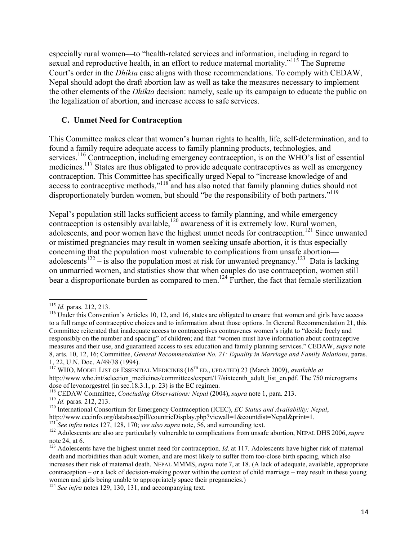especially rural women**––**to "health-related services and information, including in regard to sexual and reproductive health, in an effort to reduce maternal mortality."<sup>115</sup> The Supreme Court's order in the *Dhikta* case aligns with those recommendations. To comply with CEDAW, Nepal should adopt the draft abortion law as well as take the measures necessary to implement the other elements of the *Dhikta* decision: namely, scale up its campaign to educate the public on the legalization of abortion, and increase access to safe services.

#### **C. Unmet Need for Contraception**

This Committee makes clear that women's human rights to health, life, self-determination, and to found a family require adequate access to family planning products, technologies, and services.<sup>116</sup> Contraception, including emergency contraception, is on the WHO's list of essential medicines.<sup>117</sup> States are thus obligated to provide adequate contraceptives as well as emergency contraception. This Committee has specifically urged Nepal to "increase knowledge of and access to contraceptive methods,"<sup>118</sup> and has also noted that family planning duties should not disproportionately burden women, but should "be the responsibility of both partners."<sup>119</sup>

Nepal's population still lacks sufficient access to family planning, and while emergency contraception is ostensibly available,<sup>120</sup> awareness of it is extremely low. Rural women, adolescents, and poor women have the highest unmet needs for contraception.<sup>121</sup> Since unwanted or mistimed pregnancies may result in women seeking unsafe abortion, it is thus especially concerning that the population most vulnerable to complications from unsafe abortion**––** adolescents<sup>122</sup> – is also the population most at risk for unwanted pregnancy.<sup>123</sup> Data is lacking on unmarried women, and statistics show that when couples do use contraception, women still bear a disproportionate burden as compared to men.<sup>124</sup> Further, the fact that female sterilization

<sup>115</sup> *Id.* paras. 212, 213.

<sup>&</sup>lt;sup>116</sup> Under this Convention's Articles 10, 12, and 16, states are obligated to ensure that women and girls have access to a full range of contraceptive choices and to information about those options. In General Recommendation 21, this Committee reiterated that inadequate access to contraceptives contravenes women's right to "decide freely and responsibly on the number and spacing" of children; and that "women must have information about contraceptive measures and their use, and guaranteed access to sex education and family planning services." CEDAW, *supra* note 8, arts. 10, 12, 16; Committee, *General Recommendation No. 21: Equality in Marriage and Family Relations*, paras. 1, 22, U.N. Doc. A/49/38 (1994).

<sup>117</sup> WHO, MODEL LIST OF ESSENTIAL MEDICINES (16TH ED., UPDATED) 23 (March 2009), *available at*  http://www.who.int/selection\_medicines/committees/expert/17/sixteenth\_adult\_list\_en.pdf. The 750 micrograms dose of levonorgestrel (in sec.18.3.1, p. 23) is the EC regimen.

<sup>118</sup> CEDAW Committee, *Concluding Observations: Nepal* (2004), *supra* note 1, para. 213.

<sup>119</sup> *Id.* paras. 212, 213.

<sup>120</sup> International Consortium for Emergency Contraception (ICEC), *EC Status and Availability: Nepal*,

http://www.cecinfo.org/database/pill/countrieDisplay.php?viewall=1&countdist=Nepal&print=1.

<sup>121</sup> *See infra* notes 127, 128, 170; *see also supra* note, 56, and surrounding text.

<sup>&</sup>lt;sup>122</sup> Adolescents are also are particularly vulnerable to complications from unsafe abortion, NEPAL DHS 2006, *supra* note 24, at 6.

<sup>&</sup>lt;sup>123</sup> Adolescents have the highest unmet need for contraception. *Id.* at 117. Adolescents have higher risk of maternal death and morbidities than adult women, and are most likely to suffer from too-close birth spacing, which also increases their risk of maternal death. NEPAL MMMS, *supra* note 7, at 18. (A lack of adequate, available, appropriate contraception – or a lack of decision-making power within the context of child marriage – may result in these young women and girls being unable to appropriately space their pregnancies.)

<sup>124</sup> *See infra* notes 129, 130, 131, and accompanying text.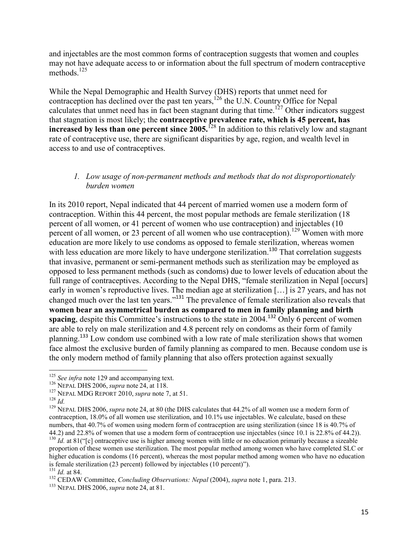and injectables are the most common forms of contraception suggests that women and couples may not have adequate access to or information about the full spectrum of modern contraceptive methods.<sup>125</sup>

While the Nepal Demographic and Health Survey (DHS) reports that unmet need for contraception has declined over the past ten years,<sup>126</sup> the U.N. Country Office for Nepal calculates that unmet need has in fact been stagnant during that time.<sup>127</sup> Other indicators suggest that stagnation is most likely; the **contraceptive prevalence rate, which is 45 percent, has increased by less than one percent since 2005.**<sup>128</sup> In addition to this relatively low and stagnant rate of contraceptive use, there are significant disparities by age, region, and wealth level in access to and use of contraceptives.

### *1. Low usage of non-permanent methods and methods that do not disproportionately burden women*

In its 2010 report, Nepal indicated that 44 percent of married women use a modern form of contraception. Within this 44 percent, the most popular methods are female sterilization (18 percent of all women, or 41 percent of women who use contraception) and injectables (10 percent of all women, or 23 percent of all women who use contraception).<sup>129</sup> Women with more education are more likely to use condoms as opposed to female sterilization, whereas women with less education are more likely to have undergone sterilization.<sup>130</sup> That correlation suggests that invasive, permanent or semi-permanent methods such as sterilization may be employed as opposed to less permanent methods (such as condoms) due to lower levels of education about the full range of contraceptives. According to the Nepal DHS, "female sterilization in Nepal [occurs] early in women's reproductive lives. The median age at sterilization […] is 27 years, and has not changed much over the last ten years."<sup>131</sup> The prevalence of female sterilization also reveals that **women bear an asymmetrical burden as compared to men in family planning and birth**  spacing, despite this Committee's instructions to the state in 2004.<sup>132</sup> Only 6 percent of women are able to rely on male sterilization and 4.8 percent rely on condoms as their form of family planning.<sup>133</sup> Low condom use combined with a low rate of male sterilization shows that women face almost the exclusive burden of family planning as compared to men. Because condom use is the only modern method of family planning that also offers protection against sexually

<sup>&</sup>lt;sup>125</sup> *See infra* note 129 and accompanying text.

<sup>126</sup> NEPAL DHS 2006, *supra* note 24, at 118.

<sup>127</sup> NEPAL MDG REPORT 2010, *supra* note 7, at 51.

<sup>128</sup> *Id.* 

<sup>129</sup> NEPAL DHS 2006, *supra* note 24, at 80 (the DHS calculates that 44.2% of all women use a modern form of contraception, 18.0% of all women use sterilization, and 10.1% use injectables. We calculate, based on these numbers, that 40.7% of women using modern form of contraception are using sterilization (since 18 is 40.7% of 44.2) and 22.8% of women that use a modern form of contraception use injectables (since 10.1 is 22.8% of 44.2)).

<sup>&</sup>lt;sup>130</sup> *Id.* at 81("[c] ontraceptive use is higher among women with little or no education primarily because a sizeable proportion of these women use sterilization. The most popular method among women who have completed SLC or higher education is condoms (16 percent), whereas the most popular method among women who have no education is female sterilization (23 percent) followed by injectables (10 percent)").

<sup>131</sup> *Id.* at 84.

<sup>132</sup> CEDAW Committee, *Concluding Observations: Nepal* (2004), *supra* note 1, para. 213.

<sup>133</sup> NEPAL DHS 2006, *supra* note 24, at 81.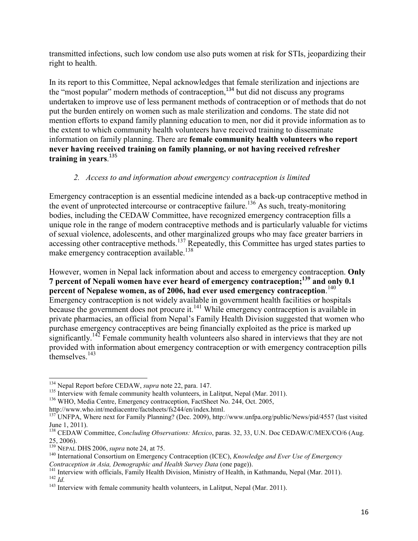transmitted infections, such low condom use also puts women at risk for STIs, jeopardizing their right to health.

In its report to this Committee, Nepal acknowledges that female sterilization and injections are the "most popular" modern methods of contraception, $134$  but did not discuss any programs undertaken to improve use of less permanent methods of contraception or of methods that do not put the burden entirely on women such as male sterilization and condoms. The state did not mention efforts to expand family planning education to men, nor did it provide information as to the extent to which community health volunteers have received training to disseminate information on family planning. There are **female community health volunteers who report never having received training on family planning, or not having received refresher training in years**. 135

### *2. Access to and information about emergency contraception is limited*

Emergency contraception is an essential medicine intended as a back-up contraceptive method in the event of unprotected intercourse or contraceptive failure.<sup>136</sup> As such, treaty-monitoring bodies, including the CEDAW Committee, have recognized emergency contraception fills a unique role in the range of modern contraceptive methods and is particularly valuable for victims of sexual violence, adolescents, and other marginalized groups who may face greater barriers in accessing other contraceptive methods.<sup>137</sup> Repeatedly, this Committee has urged states parties to make emergency contraception available.<sup>138</sup>

However, women in Nepal lack information about and access to emergency contraception. **Only 7 percent of Nepali women have ever heard of emergency contraception;<sup>139</sup> and only 0.1 percent of Nepalese women, as of 2006, had ever used emergency contraception**. 140 Emergency contraception is not widely available in government health facilities or hospitals because the government does not procure it.<sup>141</sup> While emergency contraception is available in private pharmacies, an official from Nepal's Family Health Division suggested that women who purchase emergency contraceptives are being financially exploited as the price is marked up significantly.<sup>142</sup> Female community health volunteers also shared in interviews that they are not provided with information about emergency contraception or with emergency contraception pills themselves. $143$ 

http://www.who.int/mediacentre/factsheets/fs244/en/index.html.

<sup>134</sup> Nepal Report before CEDAW, *supra* note 22, para. 147.

<sup>&</sup>lt;sup>135</sup> Interview with female community health volunteers, in Lalitput, Nepal (Mar. 2011).

<sup>&</sup>lt;sup>136</sup> WHO, Media Centre, Emergency contraception, FactSheet No. 244, Oct. 2005,

<sup>&</sup>lt;sup>137</sup> UNFPA, Where next for Family Planning? (Dec. 2009), http://www.unfpa.org/public/News/pid/4557 (last visited June 1, 2011).

<sup>138</sup> CEDAW Committee, *Concluding Observations: Mexico*, paras. 32, 33, U.N. Doc CEDAW/C/MEX/CO/6 (Aug. 25, 2006).

<sup>139</sup> NEPAL DHS 2006, *supra* note 24, at 75.

<sup>140</sup> International Consortium on Emergency Contraception (ICEC), *Knowledge and Ever Use of Emergency Contraception in Asia, Demographic and Health Survey Data* (one page)).

<sup>&</sup>lt;sup>141</sup> Interview with officials, Family Health Division, Ministry of Health, in Kathmandu, Nepal (Mar. 2011). <sup>142</sup> *Id.*

<sup>&</sup>lt;sup>143</sup> Interview with female community health volunteers, in Lalitput, Nepal (Mar. 2011).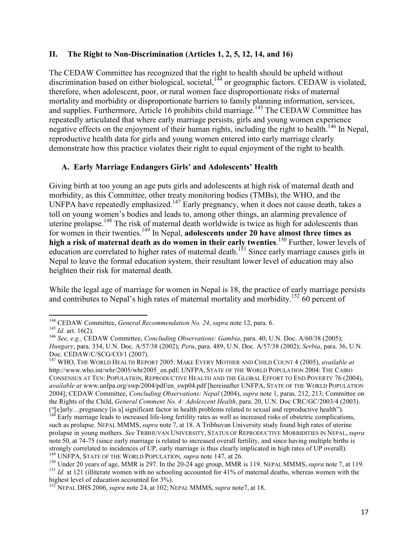### **II. The Right to Non-Discrimination (Articles 1, 2, 5, 12, 14, and 16)**

The CEDAW Committee has recognized that the right to health should be upheld without discrimination based on either biological, societal,  $144$  or geographic factors. CEDAW is violated, therefore, when adolescent, poor, or rural women face disproportionate risks of maternal mortality and morbidity or disproportionate barriers to family planning information, services, and supplies. Furthermore, Article 16 prohibits child marriage.<sup>145</sup> The CEDAW Committee has repeatedly articulated that where early marriage persists, girls and young women experience negative effects on the enjoyment of their human rights, including the right to health.<sup>146</sup> In Nepal, reproductive health data for girls and young women entered into early marriage clearly demonstrate how this practice violates their right to equal enjoyment of the right to health.

### **A. Early Marriage Endangers Girls' and Adolescents' Health**

Giving birth at too young an age puts girls and adolescents at high risk of maternal death and morbidity, as this Committee, other treaty monitoring bodies (TMBs), the WHO, and the UNFPA have repeatedly emphasized.<sup>147</sup> Early pregnancy, when it does not cause death, takes a toll on young women's bodies and leads to, among other things, an alarming prevalence of uterine prolapse.<sup>148</sup> The risk of maternal death worldwide is twice as high for adolescents than for women in their twenties.<sup>149</sup> In Nepal, **adolescents under 20 have almost three times as high a risk of maternal death as do women in their early twenties**. <sup>150</sup> Further, lower levels of education are correlated to higher rates of maternal death.<sup>151</sup> Since early marriage causes girls in Nepal to leave the formal education system, their resultant lower level of education may also heighten their risk for maternal death.

While the legal age of marriage for women in Nepal is 18, the practice of early marriage persists and contributes to Nepal's high rates of maternal mortality and morbidity.<sup>152</sup> 60 percent of

<sup>144</sup> CEDAW Committee, *General Recommendation No. 24*, *supra* note 12, para. 6.

<sup>145</sup> *Id.* art. 16(2).

<sup>146</sup> *See, e.g.,* CEDAW Committee, *Concluding Observations: Gambia*, para. 40, U.N. Doc. A/60/38 (2005); *Hungary*, para. 334, U.N. Doc. A/57/38 (2002); *Peru*, para. 489, U.N. Doc. A/57/38 (2002); *Serbia*, para. 36, U.N. Doc. CEDAW/C/SCG/CO/1 (2007).

<sup>147</sup> WHO, THE WORLD HEALTH REPORT 2005: MAKE EVERY MOTHER AND CHILD COUNT 4 (2005), *available at*  http://www.who.int/whr/2005/whr2005\_en.pdf; UNFPA, STATE OF THE WORLD POPULATION 2004: THE CAIRO CONSENSUS AT TEN: POPULATION, REPRODUCTIVE HEALTH AND THE GLOBAL EFFORT TO END POVERTY 76 (2004), *available at* www.unfpa.org/swp/2004/pdf/en\_swp04.pdf [hereinafter UNFPA, STATE OF THE WORLD POPULATION 2004]; CEDAW Committee, *Concluding Observations: Nepal* (2004), *supra* note 1, paras. 212, 213; Committee on the Rights of the Child, *General Comment No. 4: Adolescent Health*, para. 20, U.N. Doc CRC/GC/2003/4 (2003). ("[e]arly…pregnancy [is a] significant factor in health problems related to sexual and reproductive health").

<sup>&</sup>lt;sup>148</sup> Early marriage leads to increased life-long fertility rates as well as increased risks of obstetric complications, such as prolapse. NEPAL MMMS, *supra* note 7, at 18. A Tribhuvan University study found high rates of uterine prolapse in young mothers. *See* TRIBHUVAN UNIVERSITY, STATUS OF REPRODUCTIVE MORBIDITIES IN NEPAL, *supra*  note 50, at 74-75 (since early marriage is related to increased overall fertility, and since having multiple births is strongly correlated to incidences of UP, early marriage is thus clearly implicated in high rates of UP overall). <sup>149</sup> UNFPA, STATE OF THE WORLD POPULATION, *supra* note 147, at 26.

<sup>150</sup> Under 20 years of age, MMR is 297. In the 20-24 age group, MMR is 119. NEPAL MMMS, *supra* note 7, at 119.

<sup>&</sup>lt;sup>151</sup> *Id.* at 121 (illiterate women with no schooling accounted for 41% of maternal deaths, whereas women with the highest level of education accounted for 3%).

<sup>152</sup> NEPAL DHS 2006, *supra* note 24, at 102; NEPAL MMMS, *supra* note7, at 18.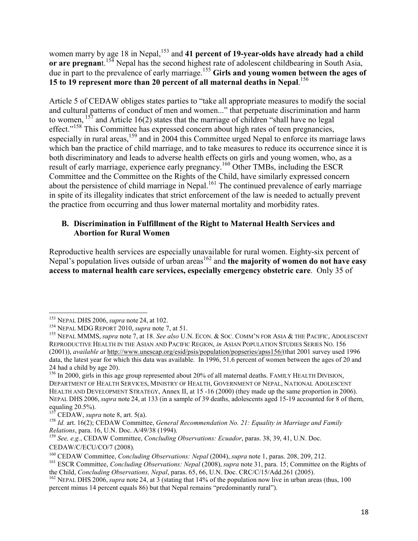women marry by age 18 in Nepal,<sup>153</sup> and 41 percent of 19-year-olds have already had a child **or are pregnant**.<sup>154</sup> Nepal has the second highest rate of adolescent childbearing in South Asia, due in part to the prevalence of early marriage.<sup>155</sup> Girls and young women between the ages of **15 to 19 represent more than 20 percent of all maternal deaths in Nepal**. 156

Article 5 of CEDAW obliges states parties to "take all appropriate measures to modify the social and cultural patterns of conduct of men and women..." that perpetuate discrimination and harm to women,  $157$  and Article 16(2) states that the marriage of children "shall have no legal effect."<sup>158</sup> This Committee has expressed concern about high rates of teen pregnancies, especially in rural areas,<sup>159</sup> and in 2004 this Committee urged Nepal to enforce its marriage laws which ban the practice of child marriage, and to take measures to reduce its occurrence since it is both discriminatory and leads to adverse health effects on girls and young women, who, as a result of early marriage, experience early pregnancy.<sup>160</sup> Other TMBs, including the ESCR Committee and the Committee on the Rights of the Child, have similarly expressed concern about the persistence of child marriage in Nepal.<sup>161</sup> The continued prevalence of early marriage in spite of its illegality indicates that strict enforcement of the law is needed to actually prevent the practice from occurring and thus lower maternal mortality and morbidity rates.

### **B. Discrimination in Fulfillment of the Right to Maternal Health Services and Abortion for Rural Women**

Reproductive health services are especially unavailable for rural women. Eighty-six percent of Nepal's population lives outside of urban areas<sup>162</sup> and **the majority of women do not have easy access to maternal health care services, especially emergency obstetric care**. Only 35 of

<sup>153</sup> NEPAL DHS 2006, *supra* note 24, at 102.

<sup>154</sup> NEPAL MDG REPORT 2010, *supra* note 7, at 51.

<sup>155</sup> NEPAL MMMS, *supra* note 7, at 18. *See also* U.N. ECON. & SOC. COMM'N FOR ASIA & THE PACIFIC, ADOLESCENT REPRODUCTIVE HEALTH IN THE ASIAN AND PACIFIC REGION, *in* ASIAN POPULATION STUDIES SERIES NO. 156 (2001)), *available at* http://www.unescap.org/esid/psis/population/popseries/apss156/(that 2001 survey used 1996 data, the latest year for which this data was available. In 1996, 51.6 percent of women between the ages of 20 and 24 had a child by age 20).

<sup>&</sup>lt;sup>156</sup> In 2000, girls in this age group represented about 20% of all maternal deaths. FAMILY HEALTH DIVISION, DEPARTMENT OF HEALTH SERVICES, MINISTRY OF HEALTH, GOVERNMENT OF NEPAL, NATIONAL ADOLESCENT HEALTH AND DEVELOPMENT STRATEGY, Annex II, at 15 -16 (2000) (they made up the same proportion in 2006). NEPAL DHS 2006, *supra* note 24, at 133 (in a sample of 39 deaths, adolescents aged 15-19 accounted for 8 of them, equaling 20.5%).

<sup>157</sup> CEDAW, *supra* note 8, art. 5(a).

<sup>158</sup> *Id.* art. 16(2); CEDAW Committee, *General Recommendation No. 21: Equality in Marriage and Family Relations*, para. 16, U.N. Doc. A/49/38 (1994).

<sup>159</sup> *See, e.g.*, CEDAW Committee, *Concluding Observations: Ecuador*, paras. 38, 39, 41, U.N. Doc. CEDAW/C/ECU/CO/7 (2008).

<sup>&</sup>lt;sup>160</sup> CEDAW Committee, *Concluding Observations: Nepal* (2004), *supra* note 1, paras. 208, 209, 212.

<sup>161</sup> ESCR Committee, *Concluding Observations: Nepal* (2008), *supra* note 31, para. 15; Committee on the Rights of the Child, *Concluding Observations, Nepal*, paras. 65, 66, U.N. Doc. CRC/C/15/Add.261 (2005).

<sup>&</sup>lt;sup>162</sup> NEPAL DHS 2006, *supra* note 24, at 3 (stating that 14% of the population now live in urban areas (thus, 100 percent minus 14 percent equals 86) but that Nepal remains "predominantly rural").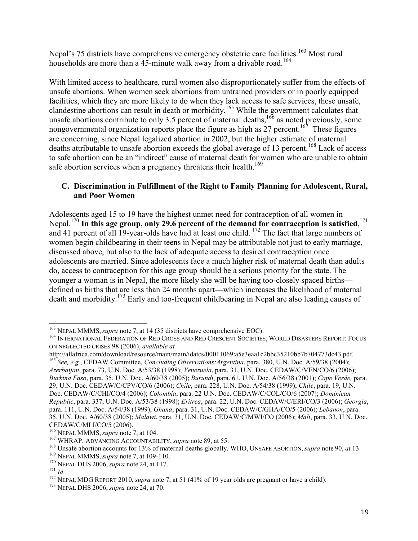Nepal's 75 districts have comprehensive emergency obstetric care facilities.<sup>163</sup> Most rural households are more than a  $45$ -minute walk away from a drivable road.<sup>164</sup>

With limited access to healthcare, rural women also disproportionately suffer from the effects of unsafe abortions. When women seek abortions from untrained providers or in poorly equipped facilities, which they are more likely to do when they lack access to safe services, these unsafe, clandestine abortions can result in death or morbidity.<sup>165</sup> While the government calculates that unsafe abortions contribute to only 3.5 percent of maternal deaths,  $166$  as noted previously, some nongovernmental organization reports place the figure as high as  $27$  percent.<sup>167</sup> These figures are concerning, since Nepal legalized abortion in 2002, but the higher estimate of maternal deaths attributable to unsafe abortion exceeds the global average of 13 percent.<sup>168</sup> Lack of access to safe abortion can be an "indirect" cause of maternal death for women who are unable to obtain safe abortion services when a pregnancy threatens their health.<sup>169</sup>

## **C. Discrimination in Fulfillment of the Right to Family Planning for Adolescent, Rural, and Poor Women**

Adolescents aged 15 to 19 have the highest unmet need for contraception of all women in Nepal.<sup>170</sup> **In this age group, only 29.6 percent of the demand for contraception is satisfied**, 171 and 41 percent of all 19-year-olds have had at least one child.<sup>172</sup> The fact that large numbers of women begin childbearing in their teens in Nepal may be attributable not just to early marriage, discussed above, but also to the lack of adequate access to desired contraception once adolescents are married. Since adolescents face a much higher risk of maternal death than adults do, access to contraception for this age group should be a serious priority for the state. The younger a woman is in Nepal, the more likely she will be having too-closely spaced births**––** defined as births that are less than 24 months apart**––**which increases the likelihood of maternal death and morbidity.<sup>173</sup> Early and too-frequent childbearing in Nepal are also leading causes of

<sup>163</sup> NEPAL MMMS, *supra* note 7, at 14 (35 districts have comprehensive EOC).

<sup>&</sup>lt;sup>164</sup> INTERNATIONAL FEDERATION OF RED CROSS AND RED CRESCENT SOCIETIES, WORLD DISASTERS REPORT: FOCUS ON NEGLECTED CRISES 98 (2006), *available at*

http://allafrica.com/download/resource/main/main/idatcs/00011069:a5e3eaa1c2bbc35210bb7b704773dc43.pdf. <sup>165</sup> *See, e.g.*, CEDAW Committee, *Concluding Observations:Argentina*, para. 380, U.N. Doc. A/59/38 (2004);

*Azerbaijan*, para. 73, U.N. Doc. A/53/38 (1998); *Venezuela*, para. 31, U.N. Doc. CEDAW/C/VEN/CO/6 (2006); *Burkina Faso*, para. 35, U.N. Doc. A/60/38 (2005); *Burundi*, para. 61, U.N. Doc. A/56/38 (2001); *Cape Verde,* para. 29, U.N. Doc. CEDAW/C/CPV/CO/6 (2006); *Chile*, para. 228, U.N. Doc. A/54/38 (1999); *Chile*, para. 19, U.N. Doc. CEDAW/C/CHI/CO/4 (2006); *Colombia*, para. 22 U.N. Doc. CEDAW/C/COL/CO/6 (2007); *Dominican Republic*, para. 337, U.N. Doc. A/53/38 (1998); *Eritrea*, para. 22, U.N. Doc. CEDAW/C/ERI/CO/3 (2006); *Georgia*, para. 111, U.N. Doc. A/54/38 (1999); *Ghana*, para. 31, U.N. Doc. CEDAW/C/GHA/CO/5 (2006); *Lebanon*, para. 35, U.N. Doc. A/60/38 (2005); *Malawi*, para. 31, U.N. Doc. CEDAW/C/MWI/CO (2006); *Mali*, para. 33, U.N. Doc. CEDAW/C/MLI/CO/5 (2006).

<sup>166</sup> NEPAL MMMS, *supra* note 7, at 104.

<sup>167</sup> WHRAP, ADVANCING ACCOUNTABILITY, *supra* note 89, at 55.

<sup>168</sup> Unsafe abortion accounts for 13% of maternal deaths globally. WHO, UNSAFE ABORTION, *supra* note 90, *at* 13.

<sup>169</sup> NEPAL MMMS, *supra* note 7, at 109-110.

<sup>170</sup> NEPAL DHS 2006, *supra* note 24, at 117.

<sup>171</sup> *Id.* 

<sup>&</sup>lt;sup>172</sup> NEPAL MDG REPORT 2010, *supra* note 7, at 51 (41% of 19 year olds are pregnant or have a child).

<sup>173</sup> NEPAL DHS 2006, *supra* note 24, at 70.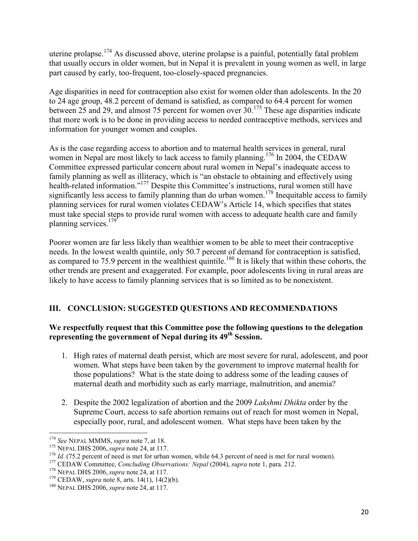uterine prolapse.<sup>174</sup> As discussed above, uterine prolapse is a painful, potentially fatal problem that usually occurs in older women, but in Nepal it is prevalent in young women as well, in large part caused by early, too-frequent, too-closely-spaced pregnancies.

Age disparities in need for contraception also exist for women older than adolescents. In the 20 to 24 age group, 48.2 percent of demand is satisfied, as compared to 64.4 percent for women between 25 and 29, and almost 75 percent for women over  $30^{175}$ . These age disparities indicate that more work is to be done in providing access to needed contraceptive methods, services and information for younger women and couples.

As is the case regarding access to abortion and to maternal health services in general, rural women in Nepal are most likely to lack access to family planning.<sup>176</sup> In 2004, the CEDAW Committee expressed particular concern about rural women in Nepal's inadequate access to family planning as well as illiteracy, which is "an obstacle to obtaining and effectively using health-related information."<sup>177</sup> Despite this Committee's instructions, rural women still have significantly less access to family planning than do urban women.<sup>178</sup> Inequitable access to family planning services for rural women violates CEDAW's Article 14, which specifies that states must take special steps to provide rural women with access to adequate health care and family planning services.<sup>179</sup>

Poorer women are far less likely than wealthier women to be able to meet their contraceptive needs. In the lowest wealth quintile, only 50.7 percent of demand for contraception is satisfied, as compared to 75.9 percent in the wealthiest quintile.<sup>180</sup> It is likely that within these cohorts, the other trends are present and exaggerated. For example, poor adolescents living in rural areas are likely to have access to family planning services that is so limited as to be nonexistent.

## **III. CONCLUSION: SUGGESTED QUESTIONS AND RECOMMENDATIONS**

### **We respectfully request that this Committee pose the following questions to the delegation representing the government of Nepal during its 49th Session.**

- 1. High rates of maternal death persist, which are most severe for rural, adolescent, and poor women. What steps have been taken by the government to improve maternal health for those populations? What is the state doing to address some of the leading causes of maternal death and morbidity such as early marriage, malnutrition, and anemia?
- 2. Despite the 2002 legalization of abortion and the 2009 *Lakshmi Dhikta* order by the Supreme Court, access to safe abortion remains out of reach for most women in Nepal, especially poor, rural, and adolescent women. What steps have been taken by the

<sup>174</sup> *See* NEPAL MMMS, *supra* note 7, at 18.

<sup>175</sup> NEPAL DHS 2006, *supra* note 24, at 117.

<sup>&</sup>lt;sup>176</sup> *Id.* (75.2 percent of need is met for urban women, while 64.3 percent of need is met for rural women).

<sup>177</sup> CEDAW Committee, *Concluding Observations: Nepal* (2004), *supra* note 1, para. 212.

<sup>178</sup> NEPAL DHS 2006, *supra* note 24, at 117.

<sup>179</sup> CEDAW, *supra* note 8, arts. 14(1), 14(2)(b).

<sup>180</sup> NEPAL DHS 2006, *supra* note 24, at 117.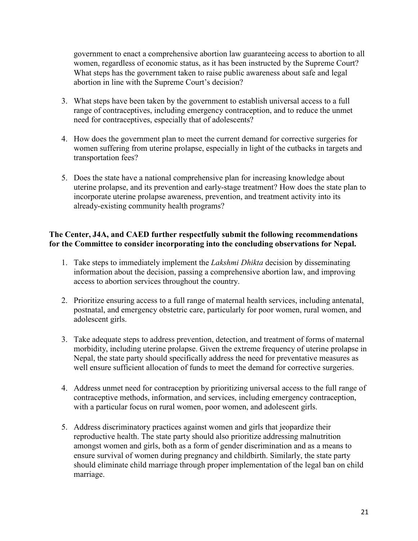government to enact a comprehensive abortion law guaranteeing access to abortion to all women, regardless of economic status, as it has been instructed by the Supreme Court? What steps has the government taken to raise public awareness about safe and legal abortion in line with the Supreme Court's decision?

- 3. What steps have been taken by the government to establish universal access to a full range of contraceptives, including emergency contraception, and to reduce the unmet need for contraceptives, especially that of adolescents?
- 4. How does the government plan to meet the current demand for corrective surgeries for women suffering from uterine prolapse, especially in light of the cutbacks in targets and transportation fees?
- 5. Does the state have a national comprehensive plan for increasing knowledge about uterine prolapse, and its prevention and early-stage treatment? How does the state plan to incorporate uterine prolapse awareness, prevention, and treatment activity into its already-existing community health programs?

### **The Center, J4A, and CAED further respectfully submit the following recommendations for the Committee to consider incorporating into the concluding observations for Nepal.**

- 1. Take steps to immediately implement the *Lakshmi Dhikta* decision by disseminating information about the decision, passing a comprehensive abortion law, and improving access to abortion services throughout the country.
- 2. Prioritize ensuring access to a full range of maternal health services, including antenatal, postnatal, and emergency obstetric care, particularly for poor women, rural women, and adolescent girls.
- 3. Take adequate steps to address prevention, detection, and treatment of forms of maternal morbidity, including uterine prolapse. Given the extreme frequency of uterine prolapse in Nepal, the state party should specifically address the need for preventative measures as well ensure sufficient allocation of funds to meet the demand for corrective surgeries.
- 4. Address unmet need for contraception by prioritizing universal access to the full range of contraceptive methods, information, and services, including emergency contraception, with a particular focus on rural women, poor women, and adolescent girls.
- 5. Address discriminatory practices against women and girls that jeopardize their reproductive health. The state party should also prioritize addressing malnutrition amongst women and girls, both as a form of gender discrimination and as a means to ensure survival of women during pregnancy and childbirth. Similarly, the state party should eliminate child marriage through proper implementation of the legal ban on child marriage.